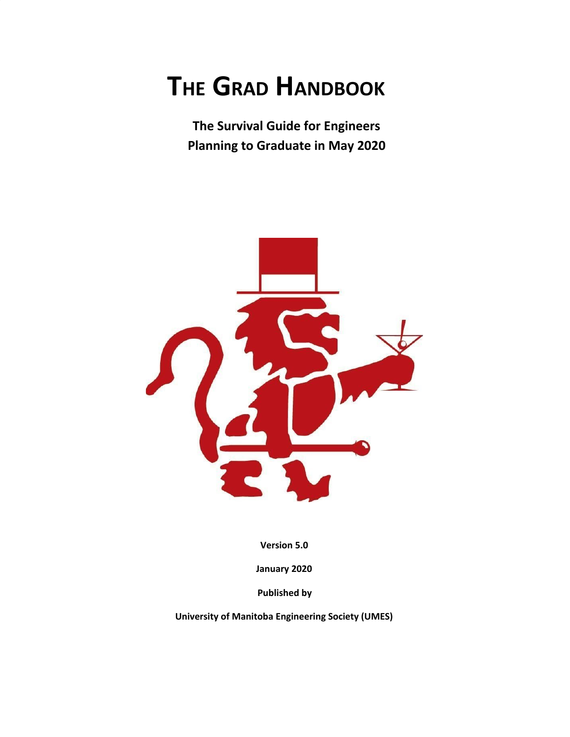# **THE GRAD HANDBOOK**

**The Survival Guide for Engineers Planning to Graduate in May 2020**



**Version 5.0**

**January 2020**

**Published by**

**University of Manitoba Engineering Society (UMES)**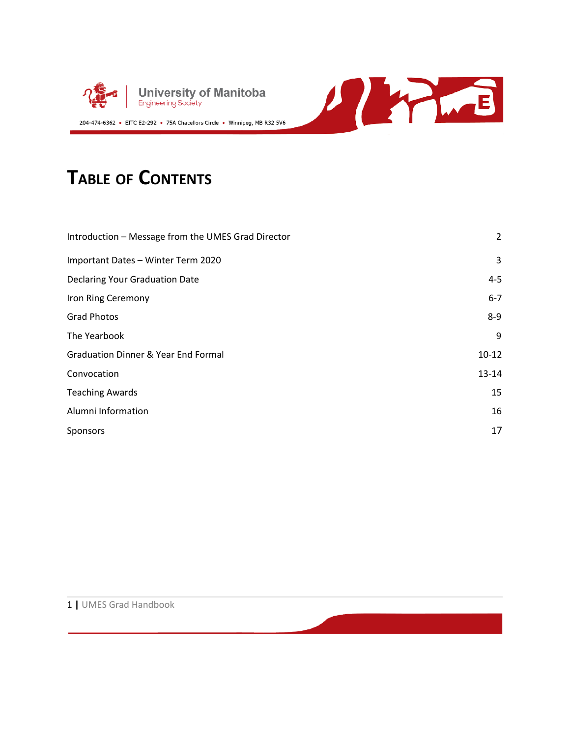



### **TABLE OF CONTENTS**

| Introduction - Message from the UMES Grad Director | 2         |
|----------------------------------------------------|-----------|
| Important Dates - Winter Term 2020                 | 3         |
| <b>Declaring Your Graduation Date</b>              | $4 - 5$   |
| Iron Ring Ceremony                                 | $6 - 7$   |
| <b>Grad Photos</b>                                 | $8-9$     |
| The Yearbook                                       | 9         |
| <b>Graduation Dinner &amp; Year End Formal</b>     | $10-12$   |
| Convocation                                        | $13 - 14$ |
| <b>Teaching Awards</b>                             | 15        |
| Alumni Information                                 | 16        |
| Sponsors                                           | 17        |

WHE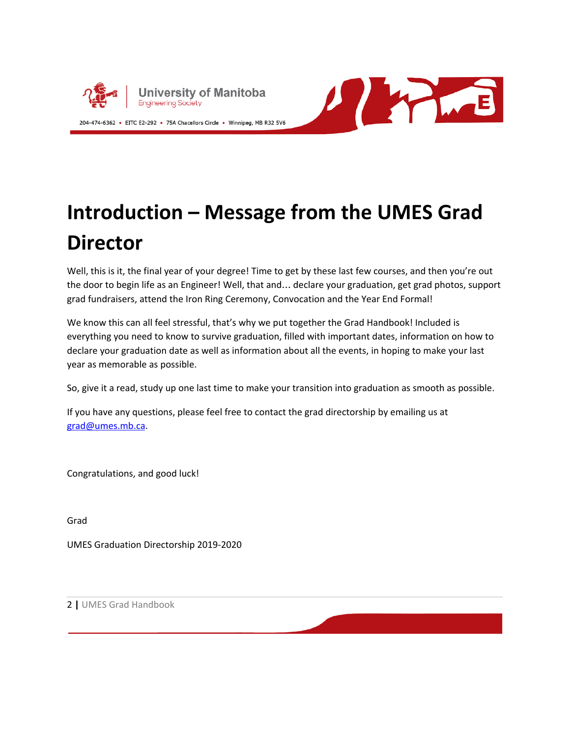



## **Introduction – Message from the UMES Grad Director**

Well, this is it, the final year of your degree! Time to get by these last few courses, and then you're out the door to begin life as an Engineer! Well, that and… declare your graduation, get grad photos, support grad fundraisers, attend the Iron Ring Ceremony, Convocation and the Year End Formal!

We know this can all feel stressful, that's why we put together the Grad Handbook! Included is everything you need to know to survive graduation, filled with important dates, information on how to declare your graduation date as well as information about all the events, in hoping to make your last year as memorable as possible.

So, give it a read, study up one last time to make your transition into graduation as smooth as possible.

If you have any questions, please feel free to contact the grad directorship by emailing us at [grad@umes.mb.ca](mailto:grad@umes.mb.ca).

Congratulations, and good luck!

Grad

UMES Graduation Directorship 2019-2020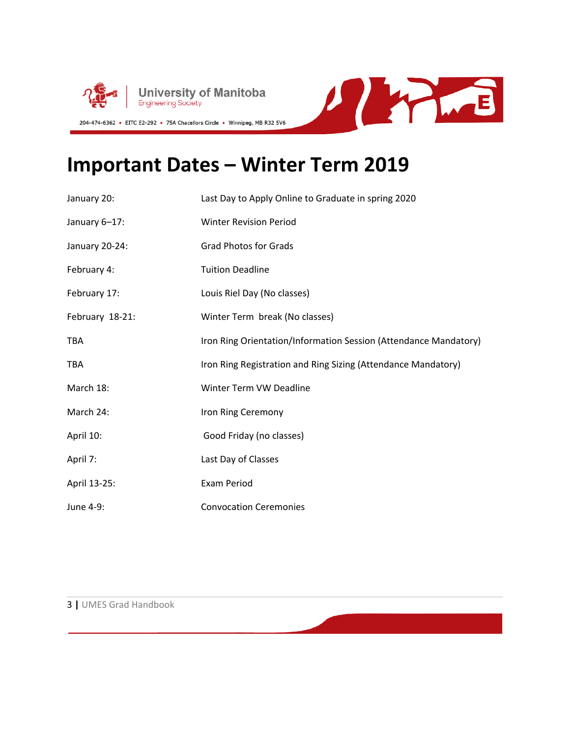



### **Important Dates – Winter Term 2019**

| January 20:     | Last Day to Apply Online to Graduate in spring 2020              |
|-----------------|------------------------------------------------------------------|
| January 6-17:   | <b>Winter Revision Period</b>                                    |
| January 20-24:  | <b>Grad Photos for Grads</b>                                     |
| February 4:     | <b>Tuition Deadline</b>                                          |
| February 17:    | Louis Riel Day (No classes)                                      |
| February 18-21: | Winter Term break (No classes)                                   |
| <b>TBA</b>      | Iron Ring Orientation/Information Session (Attendance Mandatory) |
| <b>TBA</b>      | Iron Ring Registration and Ring Sizing (Attendance Mandatory)    |
| March 18:       | Winter Term VW Deadline                                          |
| March 24:       | Iron Ring Ceremony                                               |
| April 10:       | Good Friday (no classes)                                         |
| April 7:        | Last Day of Classes                                              |
| April 13-25:    | <b>Exam Period</b>                                               |
| June 4-9:       | <b>Convocation Ceremonies</b>                                    |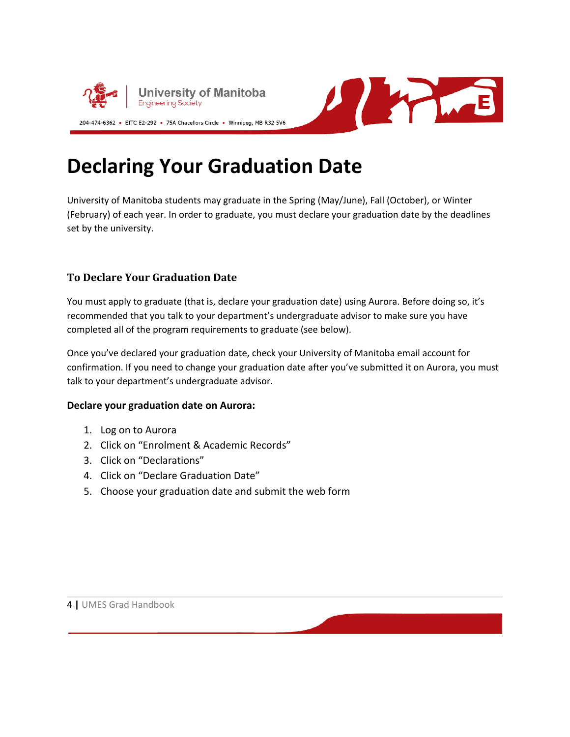



### **Declaring Your Graduation Date**

University of Manitoba students may graduate in the Spring (May/June), Fall (October), or Winter (February) of each year. In order to graduate, you must declare your graduation date by the deadlines set by the university.

#### **To Declare Your Graduation Date**

You must apply to graduate (that is, declare your graduation date) using Aurora. Before doing so, it's recommended that you talk to your department's undergraduate advisor to make sure you have completed all of the program requirements to graduate (see below).

Once you've declared your graduation date, check your University of Manitoba email account for confirmation. If you need to change your graduation date after you've submitted it on Aurora, you must talk to your department's undergraduate advisor.

#### **Declare your graduation date on Aurora:**

- 1. Log on to Aurora
- 2. Click on "Enrolment & Academic Records"
- 3. Click on "Declarations"
- 4. Click on "Declare Graduation Date"
- 5. Choose your graduation date and submit the web form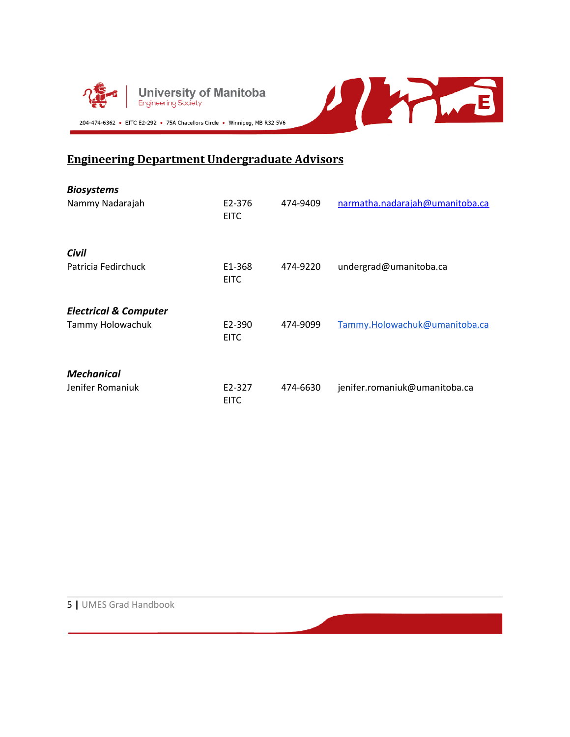

#### **Engineering Department Undergraduate Advisors**

| <b>Biosystems</b>                |                       |          |                                 |
|----------------------------------|-----------------------|----------|---------------------------------|
| Nammy Nadarajah                  | E2-376<br><b>EITC</b> | 474-9409 | narmatha.nadarajah@umanitoba.ca |
| Civil                            |                       |          |                                 |
| Patricia Fedirchuck              | E1-368<br><b>EITC</b> | 474-9220 | undergrad@umanitoba.ca          |
| <b>Electrical &amp; Computer</b> |                       |          |                                 |
| Tammy Holowachuk                 | E2-390<br><b>EITC</b> | 474-9099 | Tammy.Holowachuk@umanitoba.ca   |
| <b>Mechanical</b>                |                       |          |                                 |
| Jenifer Romaniuk                 | E2-327<br><b>EITC</b> | 474-6630 | jenifer.romaniuk@umanitoba.ca   |

WHIP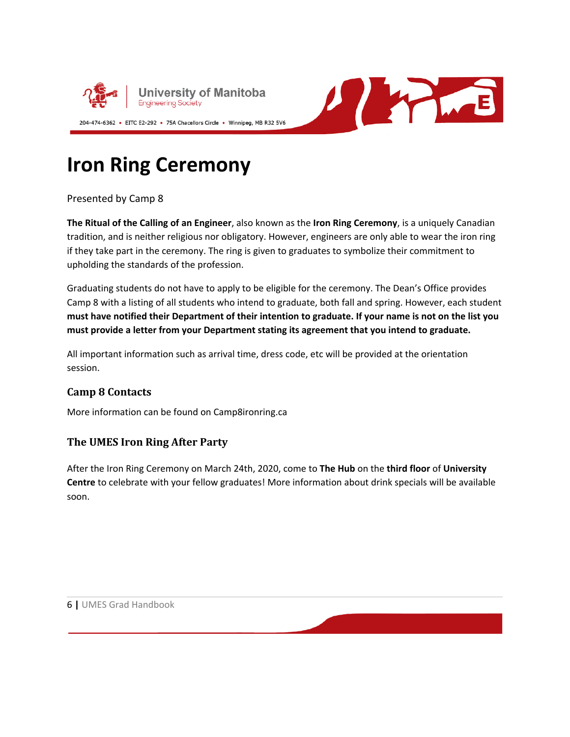

A PARTIE

### **Iron Ring Ceremony**

Presented by Camp 8

**The Ritual of the Calling of an Engineer**, also known as the **Iron Ring Ceremony**, is a uniquely Canadian tradition, and is neither religious nor obligatory. However, engineers are only able to wear the iron ring if they take part in the ceremony. The ring is given to graduates to symbolize their commitment to upholding the standards of the profession.

Graduating students do not have to apply to be eligible for the ceremony. The Dean's Office provides Camp 8 with a listing of all students who intend to graduate, both fall and spring. However, each student must have notified their Department of their intention to graduate. If your name is not on the list you **must provide a letter from your Department stating its agreement that you intend to graduate.**

All important information such as arrival time, dress code, etc will be provided at the orientation session.

#### **Camp 8 Contacts**

More information can be found on Camp8ironring.ca

#### **The UMES Iron Ring After Party**

After the Iron Ring Ceremony on March 24th, 2020, come to **The Hub** on the **third floor** of **University Centre** to celebrate with your fellow graduates! More information about drink specials will be available soon.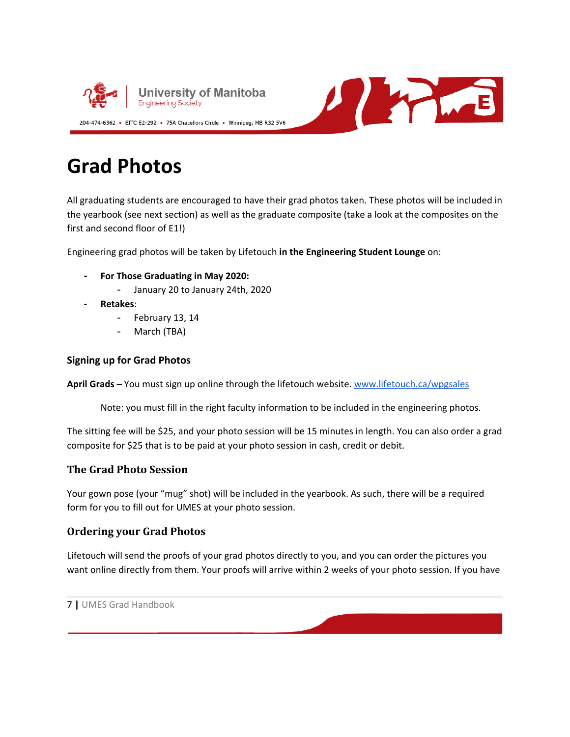

U WINE

### **Grad Photos**

All graduating students are encouraged to have their grad photos taken. These photos will be included in the yearbook (see next section) as well as the graduate composite (take a look at the composites on the first and second floor of E1!)

Engineering grad photos will be taken by Lifetouch **in the Engineering Student Lounge** on:

**- For Those Graduating in May 2020:**

- January 20 to January 24th, 2020

- **Retakes**:
	- February 13, 14
	- March (TBA)

#### **Signing up for Grad Photos**

**April Grads –** You must sign up online through the lifetouch website. [www.lifetouch.ca/wpgsales](http://www.lifetouch.ca/wpgsales)

Note: you must fill in the right faculty information to be included in the engineering photos.

The sitting fee will be \$25, and your photo session will be 15 minutes in length. You can also order a grad composite for \$25 that is to be paid at your photo session in cash, credit or debit.

#### **The Grad Photo Session**

Your gown pose (your "mug" shot) will be included in the yearbook. As such, there will be a required form for you to fill out for UMES at your photo session.

#### **Ordering your Grad Photos**

Lifetouch will send the proofs of your grad photos directly to you, and you can order the pictures you want online directly from them. Your proofs will arrive within 2 weeks of your photo session. If you have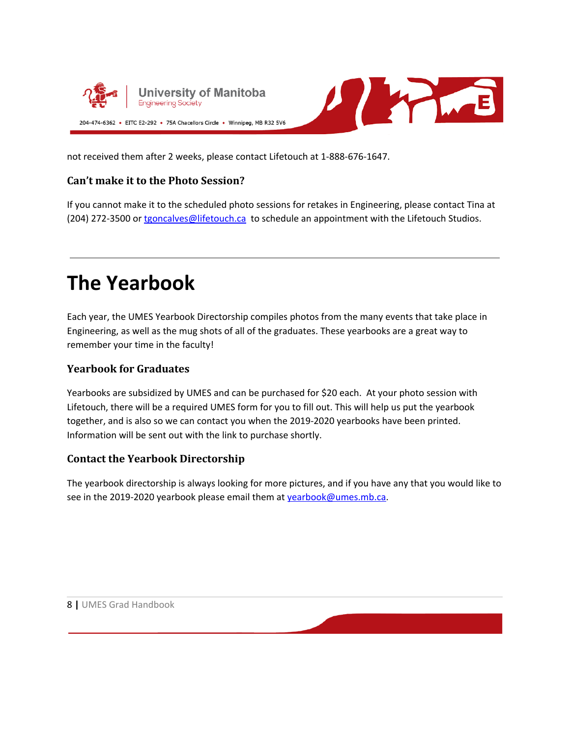



not received them after 2 weeks, please contact Lifetouch at 1-888-676-1647.

#### **Can't make it to the Photo Session?**

If you cannot make it to the scheduled photo sessions for retakes in Engineering, please contact Tina at (204) 272-3500 or [tgoncalves@lifetouch.ca](mailto:tgoncalves@lifetouch.ca) to schedule an appointment with the Lifetouch Studios.

### **The Yearbook**

Each year, the UMES Yearbook Directorship compiles photos from the many events that take place in Engineering, as well as the mug shots of all of the graduates. These yearbooks are a great way to remember your time in the faculty!

#### **Yearbook for Graduates**

Yearbooks are subsidized by UMES and can be purchased for \$20 each. At your photo session with Lifetouch, there will be a required UMES form for you to fill out. This will help us put the yearbook together, and is also so we can contact you when the 2019-2020 yearbooks have been printed. Information will be sent out with the link to purchase shortly.

#### **Contact the Yearbook Directorship**

The yearbook directorship is always looking for more pictures, and if you have any that you would like to see in the 2019-2020 yearbook please email them at [yearbook@umes.mb.ca.](mailto:yearbook@umes.mb.ca)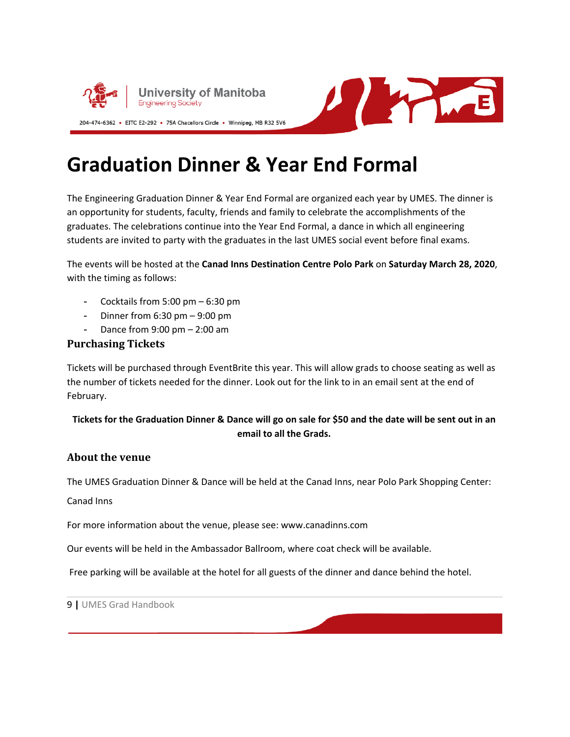



### **Graduation Dinner & Year End Formal**

The Engineering Graduation Dinner & Year End Formal are organized each year by UMES. The dinner is an opportunity for students, faculty, friends and family to celebrate the accomplishments of the graduates. The celebrations continue into the Year End Formal, a dance in which all engineering students are invited to party with the graduates in the last UMES social event before final exams.

The events will be hosted at the **Canad Inns Destination Centre Polo Park** on **Saturday March 28, 2020**, with the timing as follows:

- Cocktails from 5:00 pm 6:30 pm
- Dinner from 6:30 pm 9:00 pm
- Dance from 9:00 pm 2:00 am

#### **Purchasing Tickets**

Tickets will be purchased through EventBrite this year. This will allow grads to choose seating as well as the number of tickets needed for the dinner. Look out for the link to in an email sent at the end of February.

#### Tickets for the Graduation Dinner & Dance will go on sale for \$50 and the date will be sent out in an **email to all the Grads.**

#### **About the venue**

The UMES Graduation Dinner & Dance will be held at the Canad Inns, near Polo Park Shopping Center:

#### Canad Inns

For more information about the venue, please see: www.canadinns.com

Our events will be held in the Ambassador Ballroom, where coat check will be available.

Free parking will be available at the hotel for all guests of the dinner and dance behind the hotel.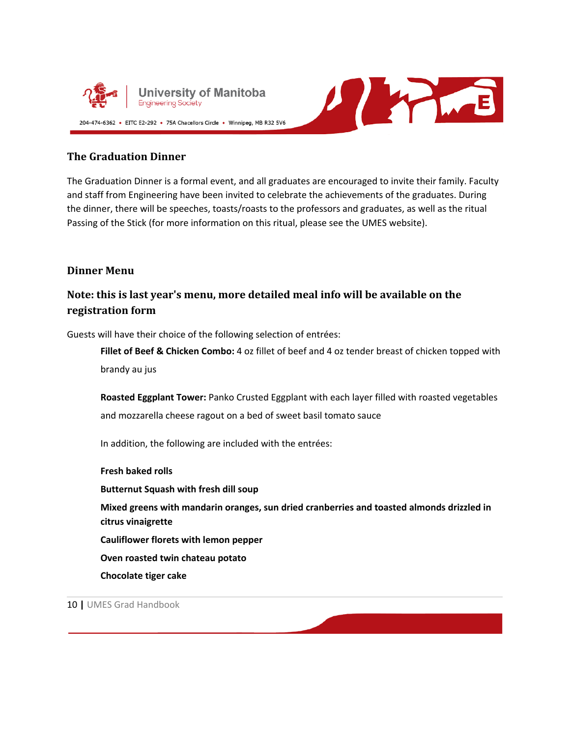



#### **The Graduation Dinner**

The Graduation Dinner is a formal event, and all graduates are encouraged to invite their family. Faculty and staff from Engineering have been invited to celebrate the achievements of the graduates. During the dinner, there will be speeches, toasts/roasts to the professors and graduates, as well as the ritual Passing of the Stick (for more information on this ritual, please see the UMES website).

#### **Dinner Menu**

#### **Note: this is last year's menu, more detailed meal info will be available on the registration form**

Guests will have their choice of the following selection of entrées:

**Fillet of Beef & Chicken Combo:** 4 oz fillet of beef and 4 oz tender breast of chicken topped with brandy au jus

**Roasted Eggplant Tower:** Panko Crusted Eggplant with each layer filled with roasted vegetables and mozzarella cheese ragout on a bed of sweet basil tomato sauce

In addition, the following are included with the entrées:

**Fresh baked rolls Butternut Squash with fresh dill soup Mixed greens with mandarin oranges, sun dried cranberries and toasted almonds drizzled in citrus vinaigrette Cauliflower florets with lemon pepper Oven roasted twin chateau potato Chocolate tiger cake**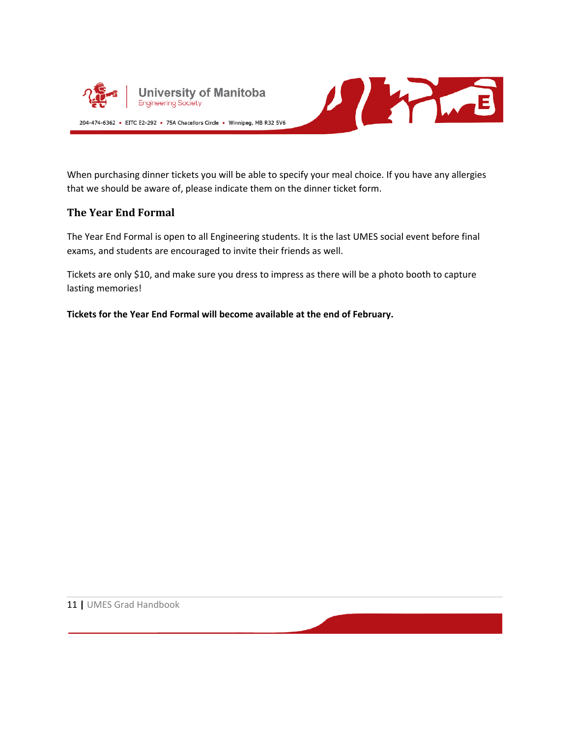



When purchasing dinner tickets you will be able to specify your meal choice. If you have any allergies that we should be aware of, please indicate them on the dinner ticket form.

#### **The Year End Formal**

The Year End Formal is open to all Engineering students. It is the last UMES social event before final exams, and students are encouraged to invite their friends as well.

Tickets are only \$10, and make sure you dress to impress as there will be a photo booth to capture lasting memories!

**Tickets for the Year End Formal will become available at the end of February.**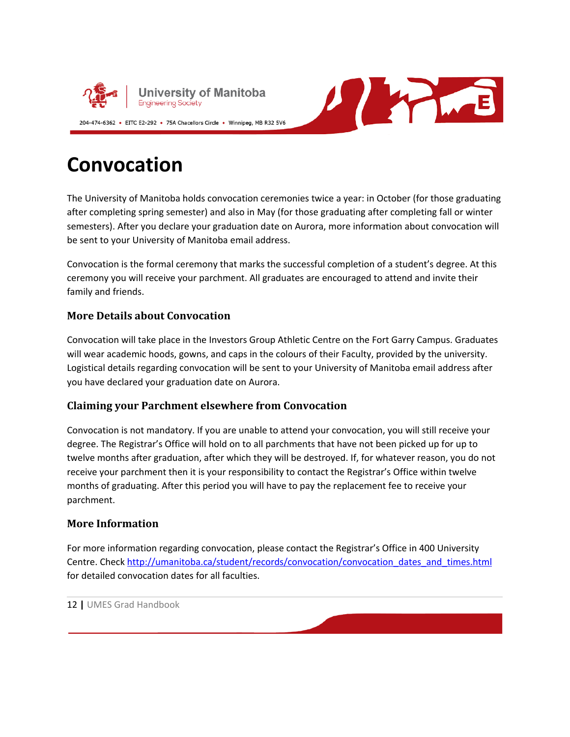



### **Convocation**

The University of Manitoba holds convocation ceremonies twice a year: in October (for those graduating after completing spring semester) and also in May (for those graduating after completing fall or winter semesters). After you declare your graduation date on Aurora, more information about convocation will be sent to your University of Manitoba email address.

Convocation is the formal ceremony that marks the successful completion of a student's degree. At this ceremony you will receive your parchment. All graduates are encouraged to attend and invite their family and friends.

#### **More Details about Convocation**

Convocation will take place in the Investors Group Athletic Centre on the Fort Garry Campus. Graduates will wear academic hoods, gowns, and caps in the colours of their Faculty, provided by the university. Logistical details regarding convocation will be sent to your University of Manitoba email address after you have declared your graduation date on Aurora.

#### **Claiming your Parchment elsewhere from Convocation**

Convocation is not mandatory. If you are unable to attend your convocation, you will still receive your degree. The Registrar's Office will hold on to all parchments that have not been picked up for up to twelve months after graduation, after which they will be destroyed. If, for whatever reason, you do not receive your parchment then it is your responsibility to contact the Registrar's Office within twelve months of graduating. After this period you will have to pay the replacement fee to receive your parchment.

#### **More Information**

For more information regarding convocation, please contact the Registrar's Office in 400 University Centre. Check [http://umanitoba.ca/student/records/convocation/convocation\\_dates\\_and\\_times.html](http://umanitoba.ca/student/records/convocation/convocation_dates_and_times.html) for detailed convocation dates for all faculties.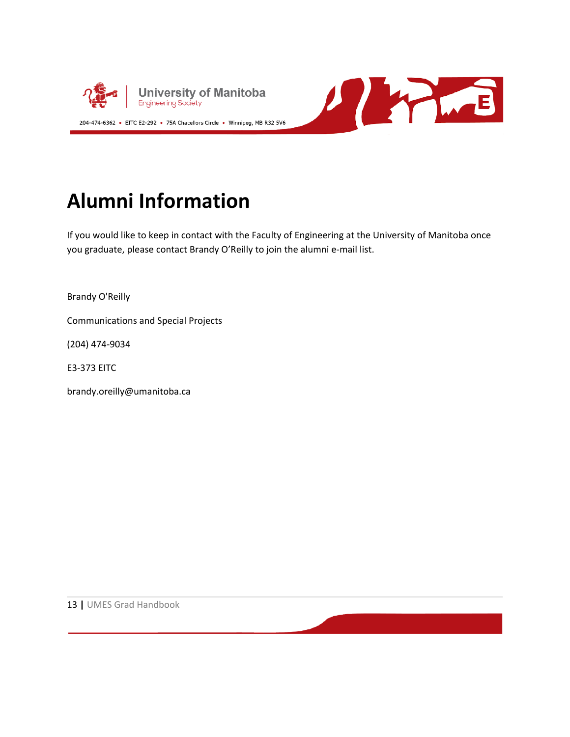



## **Alumni Information**

If you would like to keep in contact with the Faculty of Engineering at the University of Manitoba once you graduate, please contact Brandy O'Reilly to join the alumni e-mail list.

Brandy O'Reilly

Communications and Special Projects

(204) 474-9034

E3-373 EITC

brandy.oreilly@umanitoba.ca